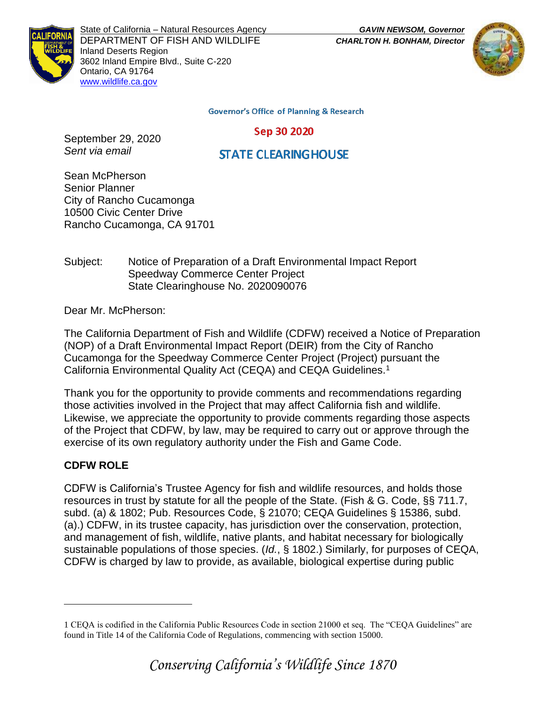



State of California – Natural Resources Agency *GAVIN NEWSOM, Governor* DEPARTMENT OF FISH AND WILDLIFE *CHARLTON H. BONHAM, Director*  Inland Deserts Region 3602 Inland Empire Blvd., Suite C-220 Ontario, CA 91764 [www.wildlife.ca.gov](http://www.cdfw.ca.gov/)

**Governor's Office of Planning & Research** 

Sep 30 2020

September 29, 2020 *Sent via email* 

**STATE CLEARING HOUSE** 

Sean McPherson Senior Planner City of Rancho Cucamonga 10500 Civic Center Drive Rancho Cucamonga, CA 91701

Subject: Notice of Preparation of a Draft Environmental Impact Report Speedway Commerce Center Project State Clearinghouse No. 2020090076

Dear Mr. McPherson:

The California Department of Fish and Wildlife (CDFW) received a Notice of Preparation (NOP) of a Draft Environmental Impact Report (DEIR) from the City of Rancho Cucamonga for the Speedway Commerce Center Project (Project) pursuant the California Environmental Quality Act (CEQA) and CEQA Guidelines.<sup>1</sup>

Thank you for the opportunity to provide comments and recommendations regarding those activities involved in the Project that may affect California fish and wildlife. Likewise, we appreciate the opportunity to provide comments regarding those aspects of the Project that CDFW, by law, may be required to carry out or approve through the exercise of its own regulatory authority under the Fish and Game Code.

# **CDFW ROLE**

CDFW is California's Trustee Agency for fish and wildlife resources, and holds those resources in trust by statute for all the people of the State. (Fish & G. Code, §§ 711.7, subd. (a) & 1802; Pub. Resources Code, § 21070; CEQA Guidelines § 15386, subd. (a).) CDFW, in its trustee capacity, has jurisdiction over the conservation, protection, and management of fish, wildlife, native plants, and habitat necessary for biologically sustainable populations of those species. (*Id.*, § 1802.) Similarly, for purposes of CEQA, CDFW is charged by law to provide, as available, biological expertise during public

<sup>1</sup> CEQA is codified in the California Public Resources Code in section 21000 et seq. The "CEQA Guidelines" are found in Title 14 of the California Code of Regulations, commencing with section 15000.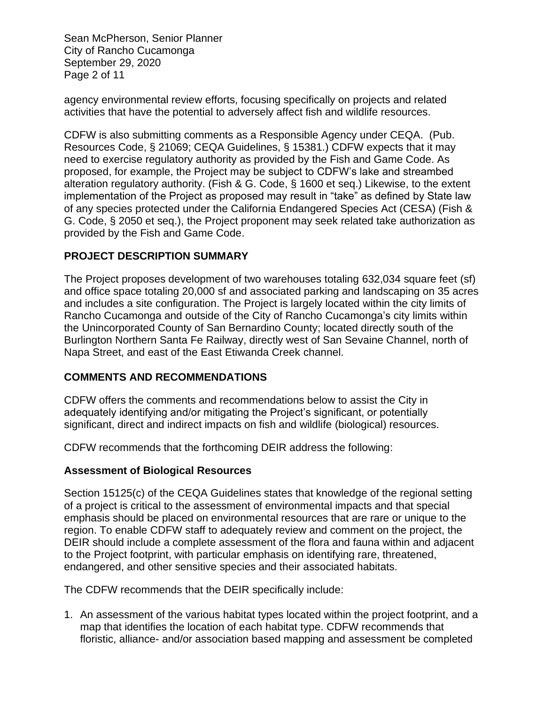Sean McPherson, Senior Planner City of Rancho Cucamonga September 29, 2020 Page 2 of 11

agency environmental review efforts, focusing specifically on projects and related activities that have the potential to adversely affect fish and wildlife resources.

CDFW is also submitting comments as a Responsible Agency under CEQA. (Pub. Resources Code, § 21069; CEQA Guidelines, § 15381.) CDFW expects that it may need to exercise regulatory authority as provided by the Fish and Game Code. As proposed, for example, the Project may be subject to CDFW's lake and streambed alteration regulatory authority. (Fish & G. Code, § 1600 et seq.) Likewise, to the extent implementation of the Project as proposed may result in "take" as defined by State law of any species protected under the California Endangered Species Act (CESA) (Fish & G. Code, § 2050 et seq.), the Project proponent may seek related take authorization as provided by the Fish and Game Code.

# **PROJECT DESCRIPTION SUMMARY**

The Project proposes development of two warehouses totaling 632,034 square feet (sf) and office space totaling 20,000 sf and associated parking and landscaping on 35 acres and includes a site configuration. The Project is largely located within the city limits of Rancho Cucamonga and outside of the City of Rancho Cucamonga's city limits within the Unincorporated County of San Bernardino County; located directly south of the Burlington Northern Santa Fe Railway, directly west of San Sevaine Channel, north of Napa Street, and east of the East Etiwanda Creek channel.

### **COMMENTS AND RECOMMENDATIONS**

CDFW offers the comments and recommendations below to assist the City in adequately identifying and/or mitigating the Project's significant, or potentially significant, direct and indirect impacts on fish and wildlife (biological) resources.

CDFW recommends that the forthcoming DEIR address the following:

### **Assessment of Biological Resources**

Section 15125(c) of the CEQA Guidelines states that knowledge of the regional setting of a project is critical to the assessment of environmental impacts and that special emphasis should be placed on environmental resources that are rare or unique to the region. To enable CDFW staff to adequately review and comment on the project, the DEIR should include a complete assessment of the flora and fauna within and adjacent to the Project footprint, with particular emphasis on identifying rare, threatened, endangered, and other sensitive species and their associated habitats.

The CDFW recommends that the DEIR specifically include:

1. An assessment of the various habitat types located within the project footprint, and a map that identifies the location of each habitat type. CDFW recommends that floristic, alliance- and/or association based mapping and assessment be completed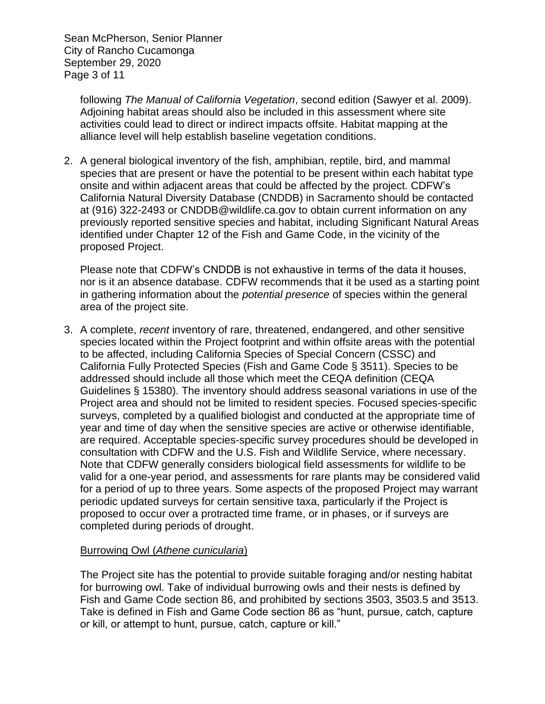Sean McPherson, Senior Planner City of Rancho Cucamonga September 29, 2020 Page 3 of 11

> following *The Manual of California Vegetation*, second edition (Sawyer et al. 2009). Adjoining habitat areas should also be included in this assessment where site activities could lead to direct or indirect impacts offsite. Habitat mapping at the alliance level will help establish baseline vegetation conditions.

2. A general biological inventory of the fish, amphibian, reptile, bird, and mammal species that are present or have the potential to be present within each habitat type onsite and within adjacent areas that could be affected by the project. CDFW's California Natural Diversity Database (CNDDB) in Sacramento should be contacted at (916) 322-2493 or CNDDB@wildlife.ca.gov to obtain current information on any previously reported sensitive species and habitat, including Significant Natural Areas identified under Chapter 12 of the Fish and Game Code, in the vicinity of the proposed Project.

Please note that CDFW's CNDDB is not exhaustive in terms of the data it houses, nor is it an absence database. CDFW recommends that it be used as a starting point in gathering information about the *potential presence* of species within the general area of the project site.

3. A complete, *recent* inventory of rare, threatened, endangered, and other sensitive species located within the Project footprint and within offsite areas with the potential to be affected, including California Species of Special Concern (CSSC) and California Fully Protected Species (Fish and Game Code § 3511). Species to be addressed should include all those which meet the CEQA definition (CEQA Guidelines § 15380). The inventory should address seasonal variations in use of the Project area and should not be limited to resident species. Focused species-specific surveys, completed by a qualified biologist and conducted at the appropriate time of year and time of day when the sensitive species are active or otherwise identifiable, are required. Acceptable species-specific survey procedures should be developed in consultation with CDFW and the U.S. Fish and Wildlife Service, where necessary. Note that CDFW generally considers biological field assessments for wildlife to be valid for a one-year period, and assessments for rare plants may be considered valid for a period of up to three years. Some aspects of the proposed Project may warrant periodic updated surveys for certain sensitive taxa, particularly if the Project is proposed to occur over a protracted time frame, or in phases, or if surveys are completed during periods of drought.

### Burrowing Owl (*Athene cunicularia*)

The Project site has the potential to provide suitable foraging and/or nesting habitat for burrowing owl. Take of individual burrowing owls and their nests is defined by Fish and Game Code section 86, and prohibited by sections 3503, 3503.5 and 3513. Take is defined in Fish and Game Code section 86 as "hunt, pursue, catch, capture or kill, or attempt to hunt, pursue, catch, capture or kill."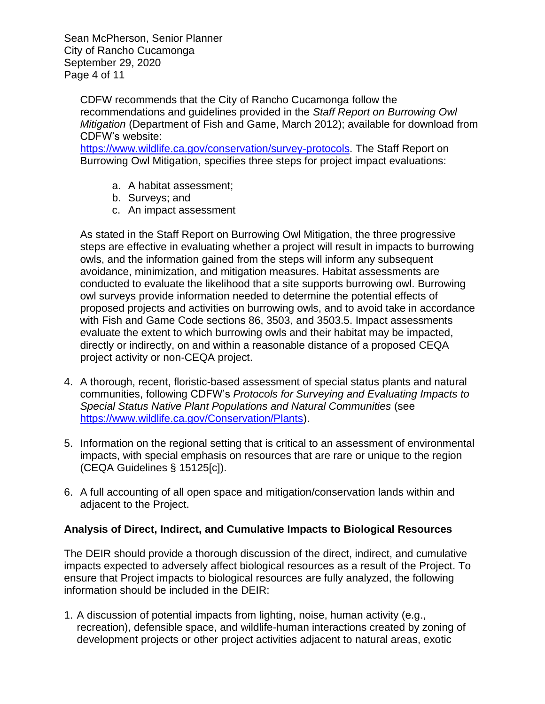Sean McPherson, Senior Planner City of Rancho Cucamonga September 29, 2020 Page 4 of 11

CDFW recommends that the City of Rancho Cucamonga follow the recommendations and guidelines provided in the *Staff Report on Burrowing Owl Mitigation* (Department of Fish and Game, March 2012); available for download from CDFW's website:

[https://www.wildlife.ca.gov/conservation/survey-protocols.](https://www.wildlife.ca.gov/conservation/survey-protocols) The Staff Report on Burrowing Owl Mitigation, specifies three steps for project impact evaluations:

- a. A habitat assessment;
- b. Surveys; and
- c. An impact assessment

As stated in the Staff Report on Burrowing Owl Mitigation, the three progressive steps are effective in evaluating whether a project will result in impacts to burrowing owls, and the information gained from the steps will inform any subsequent avoidance, minimization, and mitigation measures. Habitat assessments are conducted to evaluate the likelihood that a site supports burrowing owl. Burrowing owl surveys provide information needed to determine the potential effects of proposed projects and activities on burrowing owls, and to avoid take in accordance with Fish and Game Code sections 86, 3503, and 3503.5. Impact assessments evaluate the extent to which burrowing owls and their habitat may be impacted, directly or indirectly, on and within a reasonable distance of a proposed CEQA project activity or non-CEQA project.

- 4. A thorough, recent, floristic-based assessment of special status plants and natural communities, following CDFW's *Protocols for Surveying and Evaluating Impacts to Special Status Native Plant Populations and Natural Communities* (see [https://www.wildlife.ca.gov/Conservation/Plants\)](https://www.wildlife.ca.gov/Conservation/Plants).
- 5. Information on the regional setting that is critical to an assessment of environmental impacts, with special emphasis on resources that are rare or unique to the region (CEQA Guidelines § 15125[c]).
- 6. A full accounting of all open space and mitigation/conservation lands within and adjacent to the Project.

### **Analysis of Direct, Indirect, and Cumulative Impacts to Biological Resources**

The DEIR should provide a thorough discussion of the direct, indirect, and cumulative impacts expected to adversely affect biological resources as a result of the Project. To ensure that Project impacts to biological resources are fully analyzed, the following information should be included in the DEIR:

1. A discussion of potential impacts from lighting, noise, human activity (e.g., recreation), defensible space, and wildlife-human interactions created by zoning of development projects or other project activities adjacent to natural areas, exotic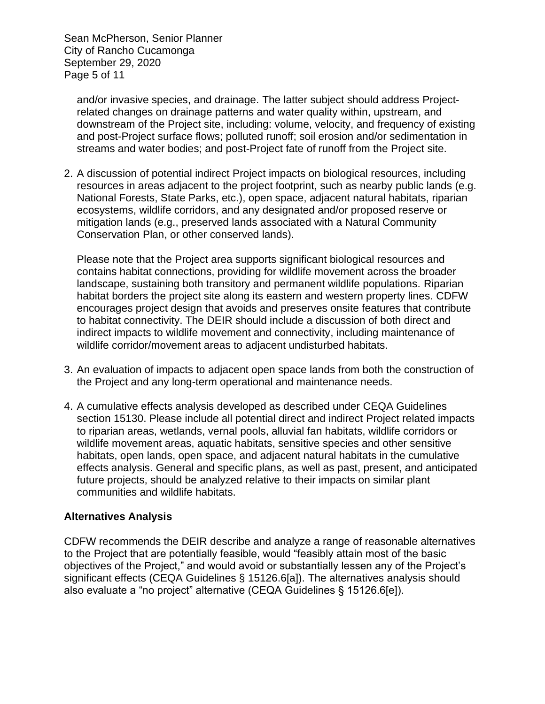Sean McPherson, Senior Planner City of Rancho Cucamonga September 29, 2020 Page 5 of 11

and/or invasive species, and drainage. The latter subject should address Projectrelated changes on drainage patterns and water quality within, upstream, and downstream of the Project site, including: volume, velocity, and frequency of existing and post-Project surface flows; polluted runoff; soil erosion and/or sedimentation in streams and water bodies; and post-Project fate of runoff from the Project site.

2. A discussion of potential indirect Project impacts on biological resources, including resources in areas adjacent to the project footprint, such as nearby public lands (e.g. National Forests, State Parks, etc.), open space, adjacent natural habitats, riparian ecosystems, wildlife corridors, and any designated and/or proposed reserve or mitigation lands (e.g., preserved lands associated with a Natural Community Conservation Plan, or other conserved lands).

Please note that the Project area supports significant biological resources and contains habitat connections, providing for wildlife movement across the broader landscape, sustaining both transitory and permanent wildlife populations. Riparian habitat borders the project site along its eastern and western property lines. CDFW encourages project design that avoids and preserves onsite features that contribute to habitat connectivity. The DEIR should include a discussion of both direct and indirect impacts to wildlife movement and connectivity, including maintenance of wildlife corridor/movement areas to adjacent undisturbed habitats.

- 3. An evaluation of impacts to adjacent open space lands from both the construction of the Project and any long-term operational and maintenance needs.
- 4. A cumulative effects analysis developed as described under CEQA Guidelines section 15130. Please include all potential direct and indirect Project related impacts to riparian areas, wetlands, vernal pools, alluvial fan habitats, wildlife corridors or wildlife movement areas, aquatic habitats, sensitive species and other sensitive habitats, open lands, open space, and adjacent natural habitats in the cumulative effects analysis. General and specific plans, as well as past, present, and anticipated future projects, should be analyzed relative to their impacts on similar plant communities and wildlife habitats.

# **Alternatives Analysis**

CDFW recommends the DEIR describe and analyze a range of reasonable alternatives to the Project that are potentially feasible, would "feasibly attain most of the basic objectives of the Project," and would avoid or substantially lessen any of the Project's significant effects (CEQA Guidelines § 15126.6[a]). The alternatives analysis should also evaluate a "no project" alternative (CEQA Guidelines § 15126.6[e]).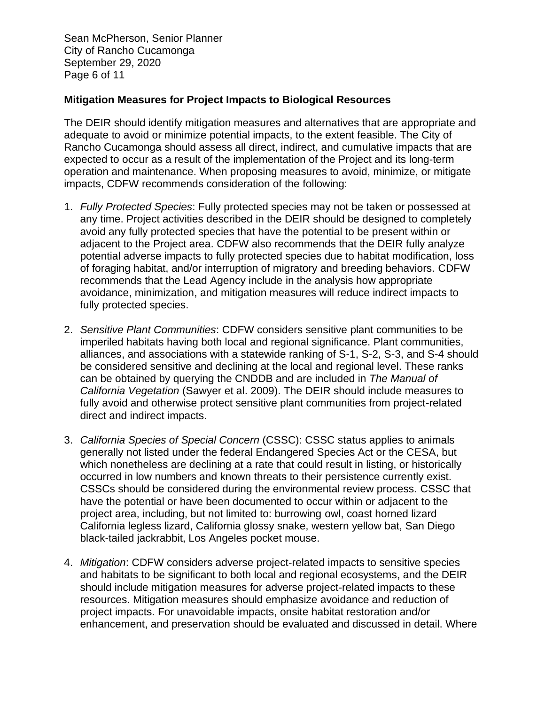Sean McPherson, Senior Planner City of Rancho Cucamonga September 29, 2020 Page 6 of 11

#### **Mitigation Measures for Project Impacts to Biological Resources**

The DEIR should identify mitigation measures and alternatives that are appropriate and adequate to avoid or minimize potential impacts, to the extent feasible. The City of Rancho Cucamonga should assess all direct, indirect, and cumulative impacts that are expected to occur as a result of the implementation of the Project and its long-term operation and maintenance. When proposing measures to avoid, minimize, or mitigate impacts, CDFW recommends consideration of the following:

- 1. *Fully Protected Species*: Fully protected species may not be taken or possessed at any time. Project activities described in the DEIR should be designed to completely avoid any fully protected species that have the potential to be present within or adjacent to the Project area. CDFW also recommends that the DEIR fully analyze potential adverse impacts to fully protected species due to habitat modification, loss of foraging habitat, and/or interruption of migratory and breeding behaviors. CDFW recommends that the Lead Agency include in the analysis how appropriate avoidance, minimization, and mitigation measures will reduce indirect impacts to fully protected species.
- 2. *Sensitive Plant Communities*: CDFW considers sensitive plant communities to be imperiled habitats having both local and regional significance. Plant communities, alliances, and associations with a statewide ranking of S-1, S-2, S-3, and S-4 should be considered sensitive and declining at the local and regional level. These ranks can be obtained by querying the CNDDB and are included in *The Manual of California Vegetation* (Sawyer et al. 2009). The DEIR should include measures to fully avoid and otherwise protect sensitive plant communities from project-related direct and indirect impacts.
- 3. *California Species of Special Concern* (CSSC): CSSC status applies to animals generally not listed under the federal Endangered Species Act or the CESA, but which nonetheless are declining at a rate that could result in listing, or historically occurred in low numbers and known threats to their persistence currently exist. CSSCs should be considered during the environmental review process. CSSC that have the potential or have been documented to occur within or adjacent to the project area, including, but not limited to: burrowing owl, coast horned lizard California legless lizard, California glossy snake, western yellow bat, San Diego black-tailed jackrabbit, Los Angeles pocket mouse.
- 4. *Mitigation*: CDFW considers adverse project-related impacts to sensitive species and habitats to be significant to both local and regional ecosystems, and the DEIR should include mitigation measures for adverse project-related impacts to these resources. Mitigation measures should emphasize avoidance and reduction of project impacts. For unavoidable impacts, onsite habitat restoration and/or enhancement, and preservation should be evaluated and discussed in detail. Where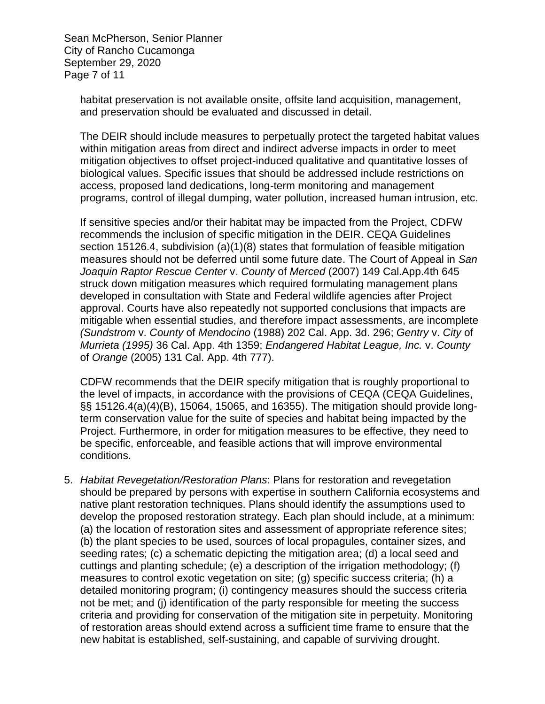Sean McPherson, Senior Planner City of Rancho Cucamonga September 29, 2020 Page 7 of 11

> habitat preservation is not available onsite, offsite land acquisition, management, and preservation should be evaluated and discussed in detail.

The DEIR should include measures to perpetually protect the targeted habitat values within mitigation areas from direct and indirect adverse impacts in order to meet mitigation objectives to offset project-induced qualitative and quantitative losses of biological values. Specific issues that should be addressed include restrictions on access, proposed land dedications, long-term monitoring and management programs, control of illegal dumping, water pollution, increased human intrusion, etc.

If sensitive species and/or their habitat may be impacted from the Project, CDFW recommends the inclusion of specific mitigation in the DEIR. CEQA Guidelines section 15126.4, subdivision (a)(1)(8) states that formulation of feasible mitigation measures should not be deferred until some future date. The Court of Appeal in *San Joaquin Raptor Rescue Center* v. *County* of *Merced* (2007) 149 Cal.App.4th 645 struck down mitigation measures which required formulating management plans developed in consultation with State and Federal wildlife agencies after Project approval. Courts have also repeatedly not supported conclusions that impacts are mitigable when essential studies, and therefore impact assessments, are incomplete *(Sundstrom* v. *County* of *Mendocino* (1988) 202 Cal. App. 3d. 296; *Gentry* v. *City* of *Murrieta (1995)* 36 Cal. App. 4th 1359; *Endangered Habitat League, Inc.* v. *County*  of *Orange* (2005) 131 Cal. App. 4th 777).

CDFW recommends that the DEIR specify mitigation that is roughly proportional to the level of impacts, in accordance with the provisions of CEQA (CEQA Guidelines, §§ 15126.4(a)(4)(B), 15064, 15065, and 16355). The mitigation should provide longterm conservation value for the suite of species and habitat being impacted by the Project. Furthermore, in order for mitigation measures to be effective, they need to be specific, enforceable, and feasible actions that will improve environmental conditions.

5. *Habitat Revegetation/Restoration Plans*: Plans for restoration and revegetation should be prepared by persons with expertise in southern California ecosystems and native plant restoration techniques. Plans should identify the assumptions used to develop the proposed restoration strategy. Each plan should include, at a minimum: (a) the location of restoration sites and assessment of appropriate reference sites; (b) the plant species to be used, sources of local propagules, container sizes, and seeding rates; (c) a schematic depicting the mitigation area; (d) a local seed and cuttings and planting schedule; (e) a description of the irrigation methodology; (f) measures to control exotic vegetation on site; (g) specific success criteria; (h) a detailed monitoring program; (i) contingency measures should the success criteria not be met; and (j) identification of the party responsible for meeting the success criteria and providing for conservation of the mitigation site in perpetuity. Monitoring of restoration areas should extend across a sufficient time frame to ensure that the new habitat is established, self-sustaining, and capable of surviving drought.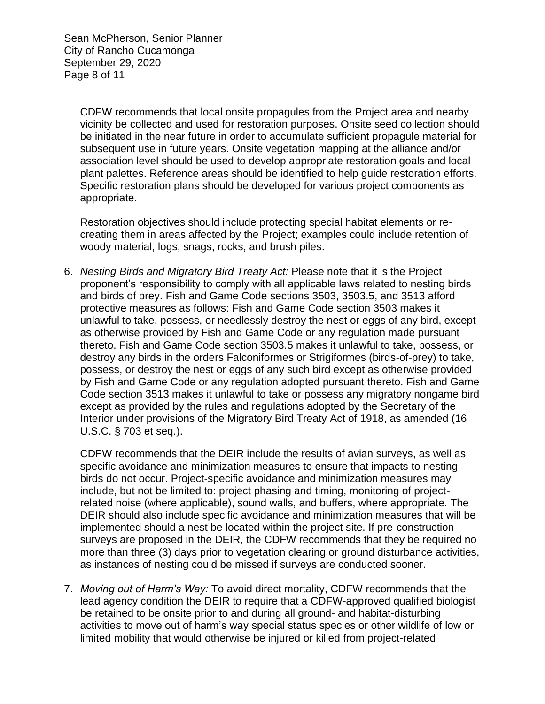Sean McPherson, Senior Planner City of Rancho Cucamonga September 29, 2020 Page 8 of 11

> CDFW recommends that local onsite propagules from the Project area and nearby vicinity be collected and used for restoration purposes. Onsite seed collection should be initiated in the near future in order to accumulate sufficient propagule material for subsequent use in future years. Onsite vegetation mapping at the alliance and/or association level should be used to develop appropriate restoration goals and local plant palettes. Reference areas should be identified to help guide restoration efforts. Specific restoration plans should be developed for various project components as appropriate.

Restoration objectives should include protecting special habitat elements or recreating them in areas affected by the Project; examples could include retention of woody material, logs, snags, rocks, and brush piles.

6. *Nesting Birds and Migratory Bird Treaty Act:* Please note that it is the Project proponent's responsibility to comply with all applicable laws related to nesting birds and birds of prey. Fish and Game Code sections 3503, 3503.5, and 3513 afford protective measures as follows: Fish and Game Code section 3503 makes it unlawful to take, possess, or needlessly destroy the nest or eggs of any bird, except as otherwise provided by Fish and Game Code or any regulation made pursuant thereto. Fish and Game Code section 3503.5 makes it unlawful to take, possess, or destroy any birds in the orders Falconiformes or Strigiformes (birds-of-prey) to take, possess, or destroy the nest or eggs of any such bird except as otherwise provided by Fish and Game Code or any regulation adopted pursuant thereto. Fish and Game Code section 3513 makes it unlawful to take or possess any migratory nongame bird except as provided by the rules and regulations adopted by the Secretary of the Interior under provisions of the Migratory Bird Treaty Act of 1918, as amended (16 U.S.C. § 703 et seq.).

CDFW recommends that the DEIR include the results of avian surveys, as well as specific avoidance and minimization measures to ensure that impacts to nesting birds do not occur. Project-specific avoidance and minimization measures may include, but not be limited to: project phasing and timing, monitoring of projectrelated noise (where applicable), sound walls, and buffers, where appropriate. The DEIR should also include specific avoidance and minimization measures that will be implemented should a nest be located within the project site. If pre-construction surveys are proposed in the DEIR, the CDFW recommends that they be required no more than three (3) days prior to vegetation clearing or ground disturbance activities, as instances of nesting could be missed if surveys are conducted sooner.

7. *Moving out of Harm's Way:* To avoid direct mortality, CDFW recommends that the lead agency condition the DEIR to require that a CDFW-approved qualified biologist be retained to be onsite prior to and during all ground- and habitat-disturbing activities to move out of harm's way special status species or other wildlife of low or limited mobility that would otherwise be injured or killed from project-related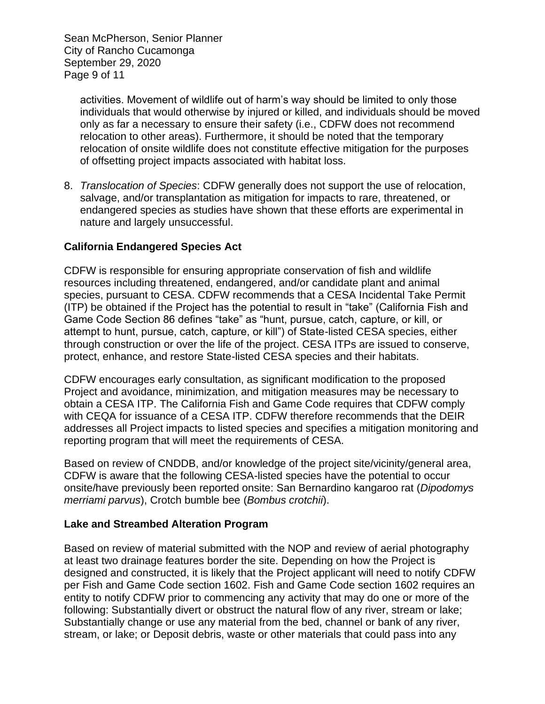Sean McPherson, Senior Planner City of Rancho Cucamonga September 29, 2020 Page 9 of 11

activities. Movement of wildlife out of harm's way should be limited to only those individuals that would otherwise by injured or killed, and individuals should be moved only as far a necessary to ensure their safety (i.e., CDFW does not recommend relocation to other areas). Furthermore, it should be noted that the temporary relocation of onsite wildlife does not constitute effective mitigation for the purposes of offsetting project impacts associated with habitat loss.

8. *Translocation of Species*: CDFW generally does not support the use of relocation, salvage, and/or transplantation as mitigation for impacts to rare, threatened, or endangered species as studies have shown that these efforts are experimental in nature and largely unsuccessful.

# **California Endangered Species Act**

CDFW is responsible for ensuring appropriate conservation of fish and wildlife resources including threatened, endangered, and/or candidate plant and animal species, pursuant to CESA. CDFW recommends that a CESA Incidental Take Permit (ITP) be obtained if the Project has the potential to result in "take" (California Fish and Game Code Section 86 defines "take" as "hunt, pursue, catch, capture, or kill, or attempt to hunt, pursue, catch, capture, or kill") of State-listed CESA species, either through construction or over the life of the project. CESA ITPs are issued to conserve, protect, enhance, and restore State-listed CESA species and their habitats.

CDFW encourages early consultation, as significant modification to the proposed Project and avoidance, minimization, and mitigation measures may be necessary to obtain a CESA ITP. The California Fish and Game Code requires that CDFW comply with CEQA for issuance of a CESA ITP. CDFW therefore recommends that the DEIR addresses all Project impacts to listed species and specifies a mitigation monitoring and reporting program that will meet the requirements of CESA.

Based on review of CNDDB, and/or knowledge of the project site/vicinity/general area, CDFW is aware that the following CESA-listed species have the potential to occur onsite/have previously been reported onsite: San Bernardino kangaroo rat (*Dipodomys merriami parvus*), Crotch bumble bee (*Bombus crotchii*).

### **Lake and Streambed Alteration Program**

Based on review of material submitted with the NOP and review of aerial photography at least two drainage features border the site. Depending on how the Project is designed and constructed, it is likely that the Project applicant will need to notify CDFW per Fish and Game Code section 1602. Fish and Game Code section 1602 requires an entity to notify CDFW prior to commencing any activity that may do one or more of the following: Substantially divert or obstruct the natural flow of any river, stream or lake; Substantially change or use any material from the bed, channel or bank of any river, stream, or lake; or Deposit debris, waste or other materials that could pass into any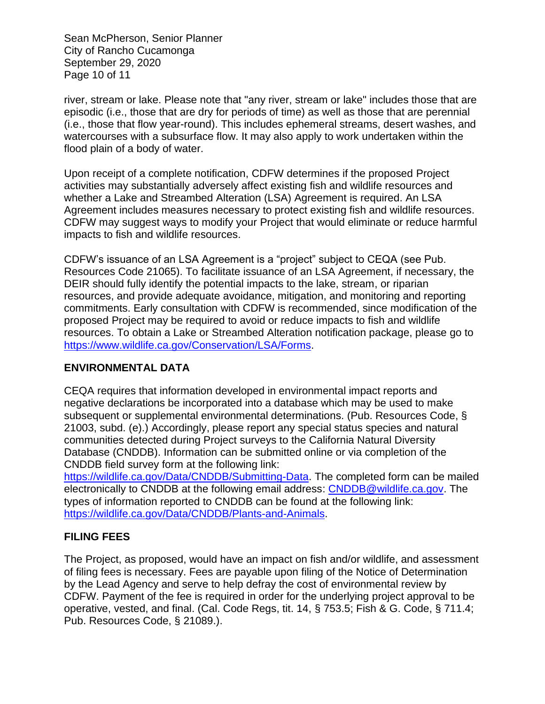Sean McPherson, Senior Planner City of Rancho Cucamonga September 29, 2020 Page 10 of 11

river, stream or lake. Please note that "any river, stream or lake" includes those that are episodic (i.e., those that are dry for periods of time) as well as those that are perennial (i.e., those that flow year-round). This includes ephemeral streams, desert washes, and watercourses with a subsurface flow. It may also apply to work undertaken within the flood plain of a body of water.

Upon receipt of a complete notification, CDFW determines if the proposed Project activities may substantially adversely affect existing fish and wildlife resources and whether a Lake and Streambed Alteration (LSA) Agreement is required. An LSA Agreement includes measures necessary to protect existing fish and wildlife resources. CDFW may suggest ways to modify your Project that would eliminate or reduce harmful impacts to fish and wildlife resources.

CDFW's issuance of an LSA Agreement is a "project" subject to CEQA (see Pub. Resources Code 21065). To facilitate issuance of an LSA Agreement, if necessary, the DEIR should fully identify the potential impacts to the lake, stream, or riparian resources, and provide adequate avoidance, mitigation, and monitoring and reporting commitments. Early consultation with CDFW is recommended, since modification of the proposed Project may be required to avoid or reduce impacts to fish and wildlife resources. To obtain a Lake or Streambed Alteration notification package, please go to [https://www.wildlife.ca.gov/Conservation/LSA/Forms.](https://www.wildlife.ca.gov/Conservation/LSA/Forms)

# **ENVIRONMENTAL DATA**

CEQA requires that information developed in environmental impact reports and negative declarations be incorporated into a database which may be used to make subsequent or supplemental environmental determinations. (Pub. Resources Code, § 21003, subd. (e).) Accordingly, please report any special status species and natural communities detected during Project surveys to the California Natural Diversity Database (CNDDB). Information can be submitted online or via completion of the CNDDB field survey form at the following link:

[https://wildlife.ca.gov/Data/CNDDB/Submitting-Data.](https://wildlife.ca.gov/Data/CNDDB/Submitting-Data) The completed form can be mailed electronically to CNDDB at the following email address: [CNDDB@wildlife.ca.gov.](mailto:cnddb@dfg.ca.gov) The types of information reported to CNDDB can be found at the following link: [https://wildlife.ca.gov/Data/CNDDB/Plants-and-Animals.](https://wildlife.ca.gov/Data/CNDDB/Plants-and-Animals)

# **FILING FEES**

The Project, as proposed, would have an impact on fish and/or wildlife, and assessment of filing fees is necessary. Fees are payable upon filing of the Notice of Determination by the Lead Agency and serve to help defray the cost of environmental review by CDFW. Payment of the fee is required in order for the underlying project approval to be operative, vested, and final. (Cal. Code Regs, tit. 14, § 753.5; Fish & G. Code, § 711.4; Pub. Resources Code, § 21089.).